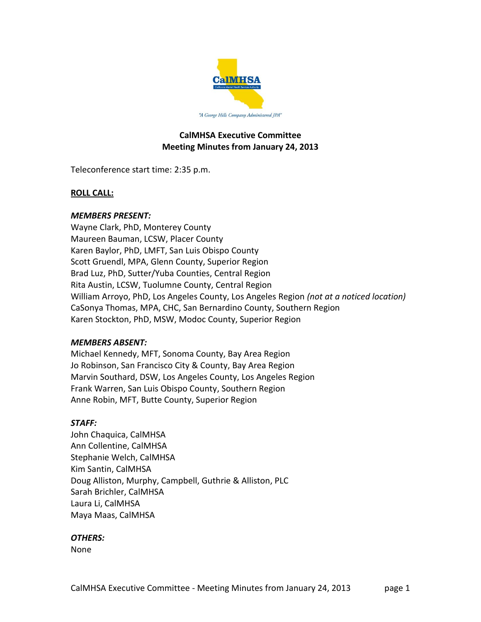

# **CalMHSA Executive Committee Meeting Minutes from January 24, 2013**

Teleconference start time: 2:35 p.m.

## **ROLL CALL:**

## *MEMBERS PRESENT:*

Wayne Clark, PhD, Monterey County Maureen Bauman, LCSW, Placer County Karen Baylor, PhD, LMFT, San Luis Obispo County Scott Gruendl, MPA, Glenn County, Superior Region Brad Luz, PhD, Sutter/Yuba Counties, Central Region Rita Austin, LCSW, Tuolumne County, Central Region William Arroyo, PhD, Los Angeles County, Los Angeles Region *(not at a noticed location)* CaSonya Thomas, MPA, CHC, San Bernardino County, Southern Region Karen Stockton, PhD, MSW, Modoc County, Superior Region

## *MEMBERS ABSENT:*

Michael Kennedy, MFT, Sonoma County, Bay Area Region Jo Robinson, San Francisco City & County, Bay Area Region Marvin Southard, DSW, Los Angeles County, Los Angeles Region Frank Warren, San Luis Obispo County, Southern Region Anne Robin, MFT, Butte County, Superior Region

## *STAFF:*

John Chaquica, CalMHSA Ann Collentine, CalMHSA Stephanie Welch, CalMHSA Kim Santin, CalMHSA Doug Alliston, Murphy, Campbell, Guthrie & Alliston, PLC Sarah Brichler, CalMHSA Laura Li, CalMHSA Maya Maas, CalMHSA

## *OTHERS:*

None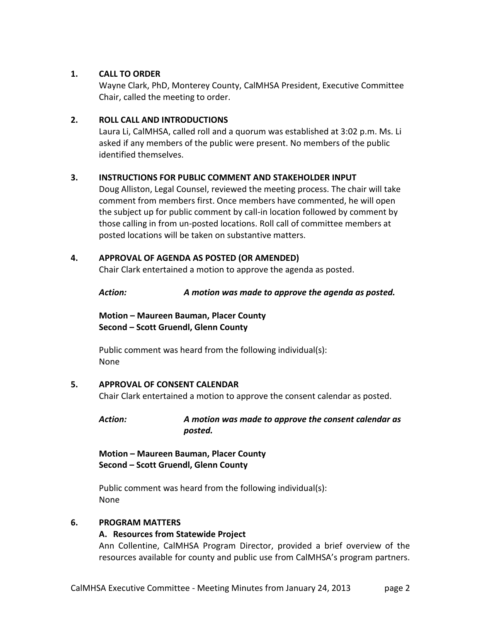## **1. CALL TO ORDER**

Wayne Clark, PhD, Monterey County, CalMHSA President, Executive Committee Chair, called the meeting to order.

# **2. ROLL CALL AND INTRODUCTIONS**

Laura Li, CalMHSA, called roll and a quorum was established at 3:02 p.m. Ms. Li asked if any members of the public were present. No members of the public identified themselves.

# **3. INSTRUCTIONS FOR PUBLIC COMMENT AND STAKEHOLDER INPUT**

Doug Alliston, Legal Counsel, reviewed the meeting process. The chair will take comment from members first. Once members have commented, he will open the subject up for public comment by call-in location followed by comment by those calling in from un-posted locations. Roll call of committee members at posted locations will be taken on substantive matters.

# **4. APPROVAL OF AGENDA AS POSTED (OR AMENDED)**

Chair Clark entertained a motion to approve the agenda as posted.

*Action: A motion was made to approve the agenda as posted.*

**Motion – Maureen Bauman, Placer County Second – Scott Gruendl, Glenn County**

Public comment was heard from the following individual(s): None

## **5. APPROVAL OF CONSENT CALENDAR**

Chair Clark entertained a motion to approve the consent calendar as posted.

## *Action: A motion was made to approve the consent calendar as posted.*

**Motion – Maureen Bauman, Placer County Second – Scott Gruendl, Glenn County**

Public comment was heard from the following individual(s): None

## **6. PROGRAM MATTERS**

# **A. Resources from Statewide Project**

Ann Collentine, CalMHSA Program Director, provided a brief overview of the resources available for county and public use from CalMHSA's program partners.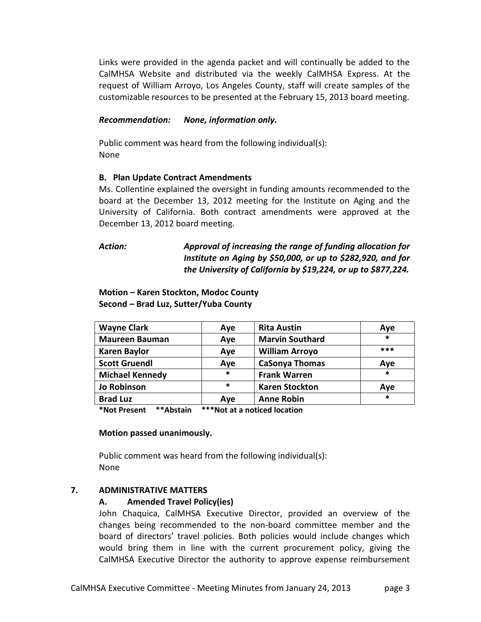Links were provided in the agenda packet and will continually be added to the CalMHSA Website and distributed via the weekly CalMHSA Express. At the request of William Arroyo, Los Angeles County, staff will create samples of the customizable resources to be presented at the February 15, 2013 board meeting.

#### *Recommendation: None, information only.*

Public comment was heard from the following individual(s): None

#### **B. Plan Update Contract Amendments**

Ms. Collentine explained the oversight in funding amounts recommended to the board at the December 13, 2012 meeting for the Institute on Aging and the University of California. Both contract amendments were approved at the December 13, 2012 board meeting.

# *Action: Approval of increasing the range of funding allocation for Institute on Aging by \$50,000, or up to \$282,920, and for the University of California by \$19,224, or up to \$877,224.*

## **Motion – Karen Stockton, Modoc County Second – Brad Luz, Sutter/Yuba County**

| <b>Wayne Clark</b>     | Aye | <b>Rita Austin</b>     | Aye    |
|------------------------|-----|------------------------|--------|
| <b>Maureen Bauman</b>  | Aye | <b>Marvin Southard</b> | *      |
| <b>Karen Baylor</b>    | Aye | <b>William Arroyo</b>  | ***    |
| <b>Scott Gruendl</b>   | Aye | <b>CaSonya Thomas</b>  | Aye    |
| <b>Michael Kennedy</b> | *   | <b>Frank Warren</b>    | *      |
| <b>Jo Robinson</b>     | *   | <b>Karen Stockton</b>  | Aye    |
| <b>Brad Luz</b>        | Aye | <b>Anne Robin</b>      | $\ast$ |

**\*Not Present \*\*Abstain \*\*\*Not at a noticed location**

#### **Motion passed unanimously.**

Public comment was heard from the following individual(s): None

## **7. ADMINISTRATIVE MATTERS**

## **A. Amended Travel Policy(ies)**

John Chaquica, CalMHSA Executive Director, provided an overview of the changes being recommended to the non-board committee member and the board of directors' travel policies. Both policies would include changes which would bring them in line with the current procurement policy, giving the CalMHSA Executive Director the authority to approve expense reimbursement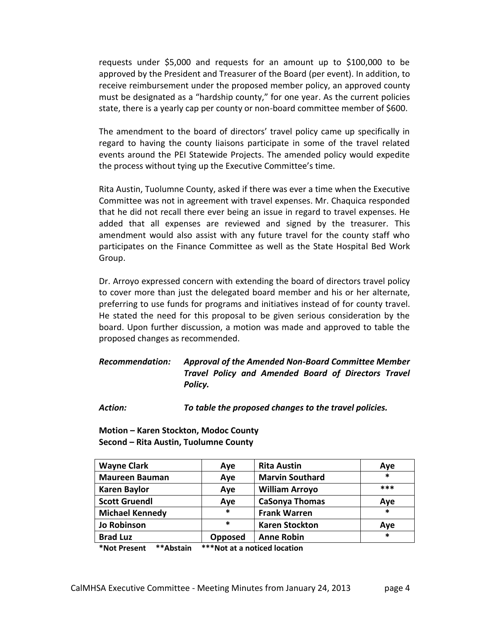requests under \$5,000 and requests for an amount up to \$100,000 to be approved by the President and Treasurer of the Board (per event). In addition, to receive reimbursement under the proposed member policy, an approved county must be designated as a "hardship county," for one year. As the current policies state, there is a yearly cap per county or non-board committee member of \$600.

The amendment to the board of directors' travel policy came up specifically in regard to having the county liaisons participate in some of the travel related events around the PEI Statewide Projects. The amended policy would expedite the process without tying up the Executive Committee's time.

Rita Austin, Tuolumne County, asked if there was ever a time when the Executive Committee was not in agreement with travel expenses. Mr. Chaquica responded that he did not recall there ever being an issue in regard to travel expenses. He added that all expenses are reviewed and signed by the treasurer. This amendment would also assist with any future travel for the county staff who participates on the Finance Committee as well as the State Hospital Bed Work Group.

Dr. Arroyo expressed concern with extending the board of directors travel policy to cover more than just the delegated board member and his or her alternate, preferring to use funds for programs and initiatives instead of for county travel. He stated the need for this proposal to be given serious consideration by the board. Upon further discussion, a motion was made and approved to table the proposed changes as recommended.

*Recommendation: Approval of the Amended Non-Board Committee Member Travel Policy and Amended Board of Directors Travel Policy.*

*Action: To table the proposed changes to the travel policies.*

**Motion – Karen Stockton, Modoc County Second – Rita Austin, Tuolumne County**

| <b>Wayne Clark</b>     | Aye     | <b>Rita Austin</b>     | Aye |
|------------------------|---------|------------------------|-----|
| <b>Maureen Bauman</b>  | Aye     | <b>Marvin Southard</b> | *   |
| <b>Karen Baylor</b>    | Aye     | <b>William Arroyo</b>  | *** |
| <b>Scott Gruendl</b>   | Aye     | <b>CaSonya Thomas</b>  | Aye |
| <b>Michael Kennedy</b> | *       | <b>Frank Warren</b>    | *   |
| <b>Jo Robinson</b>     | *       | <b>Karen Stockton</b>  | Aye |
| <b>Brad Luz</b>        | Opposed | <b>Anne Robin</b>      | *   |

**\*Not Present \*\*Abstain \*\*\*Not at a noticed location**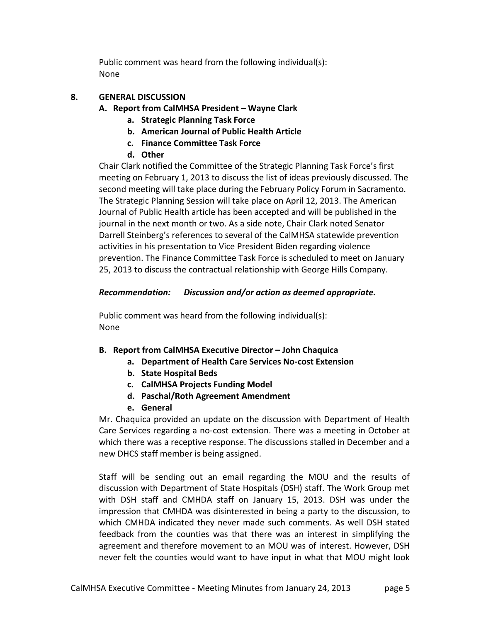Public comment was heard from the following individual(s): None

# **8. GENERAL DISCUSSION**

- **A. Report from CalMHSA President – Wayne Clark**
	- **a. Strategic Planning Task Force**
	- **b. American Journal of Public Health Article**
	- **c. Finance Committee Task Force**
	- **d. Other**

Chair Clark notified the Committee of the Strategic Planning Task Force's first meeting on February 1, 2013 to discuss the list of ideas previously discussed. The second meeting will take place during the February Policy Forum in Sacramento. The Strategic Planning Session will take place on April 12, 2013. The American Journal of Public Health article has been accepted and will be published in the journal in the next month or two. As a side note, Chair Clark noted Senator Darrell Steinberg's references to several of the CalMHSA statewide prevention activities in his presentation to Vice President Biden regarding violence prevention. The Finance Committee Task Force is scheduled to meet on January 25, 2013 to discuss the contractual relationship with George Hills Company.

# *Recommendation: Discussion and/or action as deemed appropriate.*

Public comment was heard from the following individual(s): None

## **B. Report from CalMHSA Executive Director – John Chaquica**

- **a. Department of Health Care Services No-cost Extension**
- **b. State Hospital Beds**
- **c. CalMHSA Projects Funding Model**
- **d. Paschal/Roth Agreement Amendment**
- **e. General**

Mr. Chaquica provided an update on the discussion with Department of Health Care Services regarding a no-cost extension. There was a meeting in October at which there was a receptive response. The discussions stalled in December and a new DHCS staff member is being assigned.

Staff will be sending out an email regarding the MOU and the results of discussion with Department of State Hospitals (DSH) staff. The Work Group met with DSH staff and CMHDA staff on January 15, 2013. DSH was under the impression that CMHDA was disinterested in being a party to the discussion, to which CMHDA indicated they never made such comments. As well DSH stated feedback from the counties was that there was an interest in simplifying the agreement and therefore movement to an MOU was of interest. However, DSH never felt the counties would want to have input in what that MOU might look